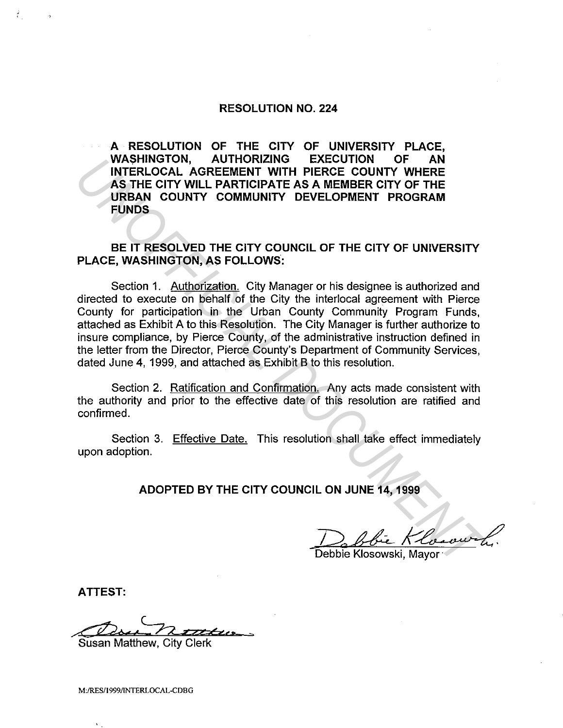## **RESOLUTION NO. 224**

**A RESOLUTION OF THE CITY OF UNIVERSITY PLACE, WASHINGTON, AUTHORIZING EXECUTION OF AN INTERLOCAL AGREEMENT WITH PIERCE COUNTY WHERE AS THE CITY WILL PARTICIPATE AS A MEMBER CITY OF THE URBAN COUNTY COMMUNITY DEVELOPMENT PROGRAM FUNDS** 

**BE IT RESOLVED THE CITY COUNCIL OF THE CITY OF UNIVERSITY PLACE, WASHINGTON, AS FOLLOWS:** 

Section 1. Authorization. City Manager or his designee is authorized and directed to execute on behalf of the City the interlocal agreement with Pierce County for participation in the Urban County Community Program Funds, attached as Exhibit A to this Resolution. The City Manager is further authorize to insure compliance, by Pierce County, of the administrative instruction defined in the letter from the Director, Pierce County's Department of Community Services, dated June 4, 1999, and attached as Exhibit B to this resolution. WASHINGTON, AUTHOHIZING EXECUTION OF AN<br>
INTERLOCAL AGREEMENT WITH PIERCE COUNTY WHERE<br>
AS THE CITY WILL PARTICIPATE AS A MEMBER CITY OF THE<br>
URBAN COUNTY COMMUNITY DEVELOPMENT PROGRAM<br>
FUNDS<br>
BE IT RESOLVED THE CITY COUNC

Section 2. Ratification and Confirmation. Any acts made consistent with the authority and prior to the effective date of this resolution are ratified and confirmed.

Section 3. Effective Date. This resolution shall take effect immediately upon adoption.

**ADOPTED BY THE CITY COUNCIL ON JUNE 14, 1999** 

Debbie Klosowski, Mayor

**ATTEST:** 

---dd-0 .. ~ *'zt* a·«,..\_ <sup>&</sup>gt;

Susan Matthew, City Clerk

M:/RES/1999/INTERLOCAL-CDBG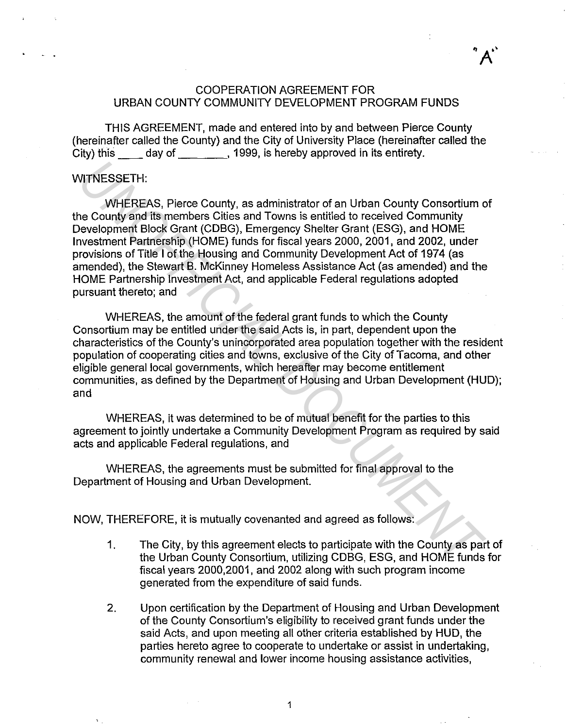## COOPERATION AGREEMENT FOR URBAN COUNTY COMMUNITY DEVELOPMENT PROGRAM FUNDS

THIS AGREEMENT, made and entered into by and between Pierce County (hereinafter called the County) and the City of University Place (hereinafter called the City) this day of , 1999, is hereby approved in its entirety.

## WITNESSETH:

WHEREAS, Pierce County, as administrator of an Urban County Consortium of the County and its members Cities and Towns is entitled to received Community Development Block Grant (CDBG), Emergency Shelter Grant (ESG), and HOME Investment Partnership (HOME) funds for fiscal years 2000, 2001, and 2002, under provisions of Title I of the Housing and Community Development Act of 1974 (as amended), the Stewart B. McKinney Homeless Assistance Act (as amended) and the HOME Partnership Investment Act, and applicable Federal regulations adopted pursuant thereto; and WITNESSETH:<br>
WHEREAS, Pierce County, as administrator of an Urban County Consortium<br>
ne County and its members Cities and Towns is entitled to received Community<br>
bevelopment Blook Grant (CDBC), Emergency Shelter Grant (ES

WHEREAS, the amount of the federal grant funds to which the County Consortium may be entitled under the said Acts is, in part, dependent upon the characteristics of the County's unincorporated area population together with the resident population of cooperating cities and towns, exclusive of the City of Tacoma, and other eligible general local governments, which hereafter may become entitlement communities, as defined by the Department of Housing and Urban Development (HUD); and

WHEREAS, it was determined to be of mutual benefit for the parties to this agreement to jointly undertake a Community Development Program as required by said acts and applicable Federal regulations, and

WHEREAS, the agreements must be submitted for final approval to the Department of Housing and Urban Development.

NOW, THEREFORE, it is mutually covenanted and agreed as follows:

- 1. The City, by this agreement elects to participate with the County as part of the Urban County Consortium, utilizing CDBG, ESG, and HOME funds for fiscal years 2000,2001, and 2002 along with such program income generated from the expenditure of said funds.
- 2. Upon certification by the Department of Housing and Urban Development of the County Consortium's eligibility to received grant funds under the said Acts, and upon meeting all other criteria established by HUD, the parties hereto agree to cooperate to undertake or assist in undertaking, community renewal and lower income housing assistance activities,

1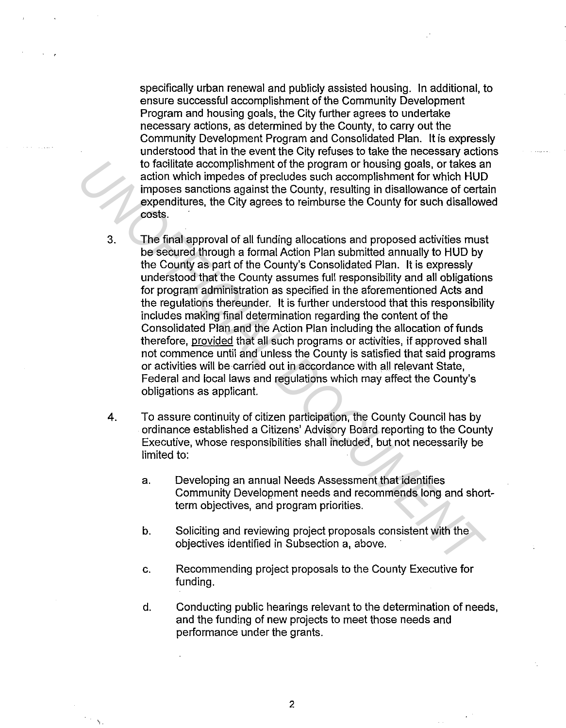specifically urban renewal and publicly assisted housing. In additional, to ensure successful accomplishment of the Community Development Program and housing goals, the City further agrees to undertake necessary actions, as determined by the County, to carry out the Community Development Program and Consolidated Plan. It is expressly understood that in the event the City refuses to take the necessary actions to facilitate accomplishment of the program or housing goals, or takes an action which impedes of precludes such accomplishment for which HUD imposes sanctions against the County, resulting in disallowance of certain expenditures, the City agrees to reimburse the County for such disallowed costs.

- 3. The final approval of all funding allocations and proposed activities must be secured through a formal Action Plan submitted annually to HUD by the County as part of the County's Consolidated Plan. It is expressly understood that the County assumes full responsibility and all obligations for program administration as specified in the aforementioned Acts and the regulations thereunder. It is further understood that this responsibility includes making final determination regarding the content of the Consolidated Plan and the Action Plan including the allocation of funds therefore, provided that all such programs or activities, if approved shall not commence until and unless the County is satisfied that said programs or activities will be carried out in accordance with all relevant State, Federal and local laws and regulations which may affect the County's obligations as applicant. to facilitate accomplishment of the program or housing goals, or takes a<br>calion which impedes of predudes such accomplishment for which HUD<br>imposes sanctions against the County, resulting in disallowance of certa<br>expenditu
	- 4. To assure continuity of citizen participation, the County Council has by ordinance established a Citizens' Advisory Board reporting to the County Executive, whose responsibilities shall included, but not necessarily be limited to:
		- a. Developing an annual Needs Assessment that identifies Community Development needs and recommends long and shortterm objectives, and program priorities.
		- b. Soliciting and reviewing project proposals consistent with the objectives identified in Subsection a, above.
		- c. Recommending project proposals to the County Executive for funding.
		- d. Conducting public hearings relevant to the determination of needs, and the funding of new projects to meet those needs and performance under the grants.

2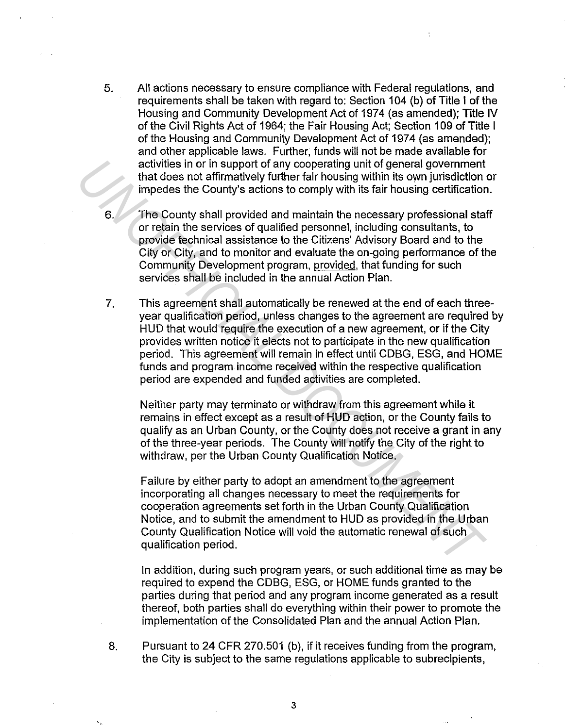- 5. All actions necessary to ensure compliance with Federal regulations, and requirements shall be taken with regard to: Section 104 (b) of Title I of the Housing and Community Development Act of 1974 (as amended); Title IV of the Civil Rights Act of 1964; the Fair Housing Act; Section 109 of Title I of the Housing and Community Development Act of 1974 (as amended); and other applicable laws. Further, funds will not be made available for activities in or in support of any cooperating unit of general government that does not affirmatively further fair housing within its own jurisdiction or impedes the County's actions to comply with its fair housing certification.
- The County shall provided and maintain the necessary professional staff or retain the services of qualified personnel, including consultants, to provide technical assistance to the Citizens' Advisory Board and to the City or City, and to monitor and evaluate the on-going performance of the Community Development program, provided, that funding for such services shall be included in the annual Action Plan.
- 7. This agreement shall automatically be renewed at the end of each threeyear qualification period, unless changes to the agreement are required by HUD that would require the execution of a new agreement, or if the City provides written notice it elects not to participate in the new qualification period. This agreement will remain in effect until CDBG, ESG, and HOME funds and program income received within the respective qualification period are expended and funded activities are completed. activities in or in support of any cooperating unit of general government<br>tind does not affirmatively further fair housing within its own jurisdiction<br>impedes the County stacitors to comply with its fair housing certificat

Neither party may terminate or withdraw from this agreement while it remains in effect except as a result of HUD action, or the County fails to qualify as an Urban County, or the County does not receive a grant in any of the three-year periods. The County will notify the City of the right to withdraw, per the Urban County Qualification Notice.

Failure by either party to adopt an amendment to the agreement incorporating all changes necessary to meet the requirements for cooperation agreements set forth in the Urban County Qualification Notice, and to submit the amendment to HUD as provided in the Urban County Qualification Notice will void the automatic renewal of such qualification period.

In addition, during such program years, or such additional time as may be required to expend the CDBG, ESG, or HOME funds granted to the parties during that period and any program income generated as a result thereof, both parties shall do everything within their power to promote the implementation of the Consolidated Plan and the annual Action Plan.

8. Pursuant to 24 CFR 270.501 (b), if it receives funding from the program, the City is subject to the same regulations applicable to subrecipients,

3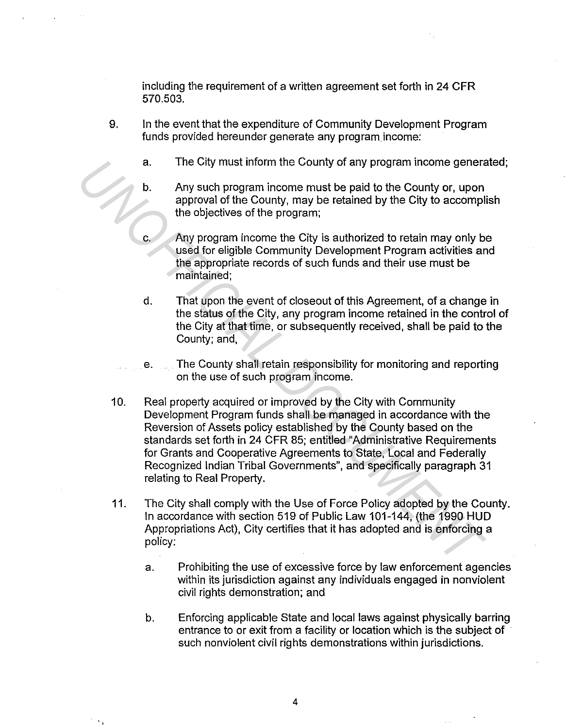including the requirement of a written agreement set forth in 24 CFR 570.503.

- 9. In the event that the expenditure of Community Development Program funds provided hereunder generate any program income:
	- a. The City must inform the County of any program income generated;
	- b. Any such program income must be paid to the County or, upon approval of the County, may be retained by the City to accomplish the objectives of the program;
	- c. Any program income the City is authorized to retain may only be used for eligible Community Development Program activities and the appropriate records of such funds and their use must be maintained;
	- d. That upon the event of closeout of this Agreement, of a change in the status of the City, any program income retained in the control of the City at that time, or subsequently received, shall be paid to the County; and,
	- e. The County shall retain responsibility for monitoring and reporting on the use of such program income.
- 10. Real property acquired or improved by the City with Community Development Program funds shall be managed in accordance with the Reversion of Assets policy established by the County based on the standards set forth in 24 CFR 85; entitled "Administrative Requirements for Grants and Cooperative Agreements to State, Local and Federally Recognized Indian Tribal Governments", and specifically paragraph 31 relating to Real Property. **a.** The City must inform the County of any program income generation.<br>
Any such program income must be paid to the County or, upon<br>
approval of the County, may be retained by the City to accompl<br>
the objectives of the pro
	- 11. The City shall comply with the Use of Force Policy adopted by the County. In accordance with section 519 of Public Law 101-144, (the 1990 HUD Appropriations Act), City certifies that it has adopted and is enforcing a policy:
		- a. Prohibiting the use of excessive force by law enforcement agencies within its jurisdiction against any individuals engaged in nonviolent civil rights demonstration; and
		- b. Enforcing applicable State and local laws against physically barring entrance to or exit from a facility or location which is the subject of such nonviolent civil rights demonstrations within jurisdictions.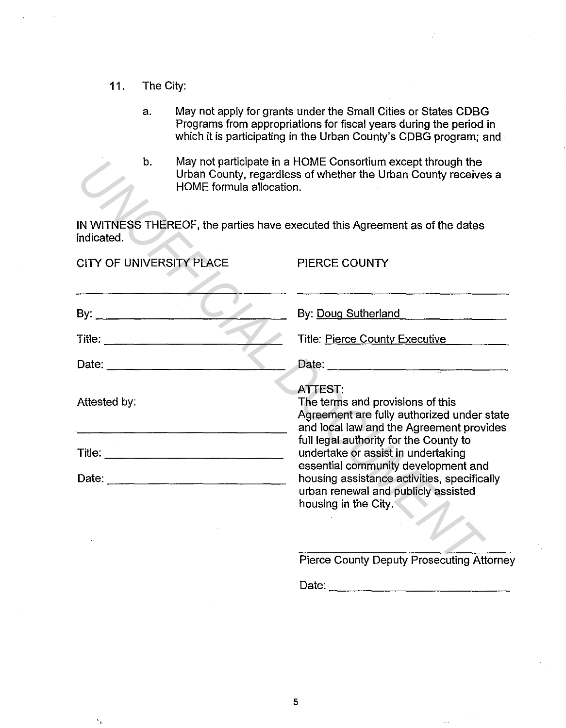11. The City:

"

- a. May not apply for grants under the Small Cities or States CDBG Programs from appropriations for fiscal years during the period in which it is participating in the Urban County's CDBG program; and
- b. May not participate in a HOME Consortium except through the Urban County, regardless of whether the Urban County receives a HOME formula allocation.

| b.                            | HOME formula allocation. | May not participate in a HOME Consortium except through the<br>Urban County, regardless of whether the Urban County receives a                                                                                                                                                                                                        |  |
|-------------------------------|--------------------------|---------------------------------------------------------------------------------------------------------------------------------------------------------------------------------------------------------------------------------------------------------------------------------------------------------------------------------------|--|
| indicated.                    |                          | IN WITNESS THEREOF, the parties have executed this Agreement as of the dates                                                                                                                                                                                                                                                          |  |
| CITY OF UNIVERSITY PLACE      |                          | PIERCE COUNTY                                                                                                                                                                                                                                                                                                                         |  |
| By: $\qquad \qquad \qquad$    |                          | the control of the control of the control of the control of the control of<br>By: Doug Sutherland<br>and a company of the company of the company of the company of the company of the company of the company of the<br>Second company of the company of the company of the company of the company of the company of the company of th |  |
| Title: ______________________ |                          | Title: Pierce County Executive                                                                                                                                                                                                                                                                                                        |  |
|                               |                          | Date:                                                                                                                                                                                                                                                                                                                                 |  |
| Attested by:                  |                          | <b>ATTEST:</b><br>The terms and provisions of this<br>Agreement are fully authorized under state<br>and local law and the Agreement provides                                                                                                                                                                                          |  |
|                               |                          | full legal authority for the County to<br>undertake or assist in undertaking                                                                                                                                                                                                                                                          |  |
|                               |                          | essential community development and<br>housing assistance activities, specifically<br>urban renewal and publicly assisted<br>housing in the City.                                                                                                                                                                                     |  |
|                               |                          | <b>Pierce County Deputy Prosecuting Attorney</b>                                                                                                                                                                                                                                                                                      |  |
|                               |                          |                                                                                                                                                                                                                                                                                                                                       |  |